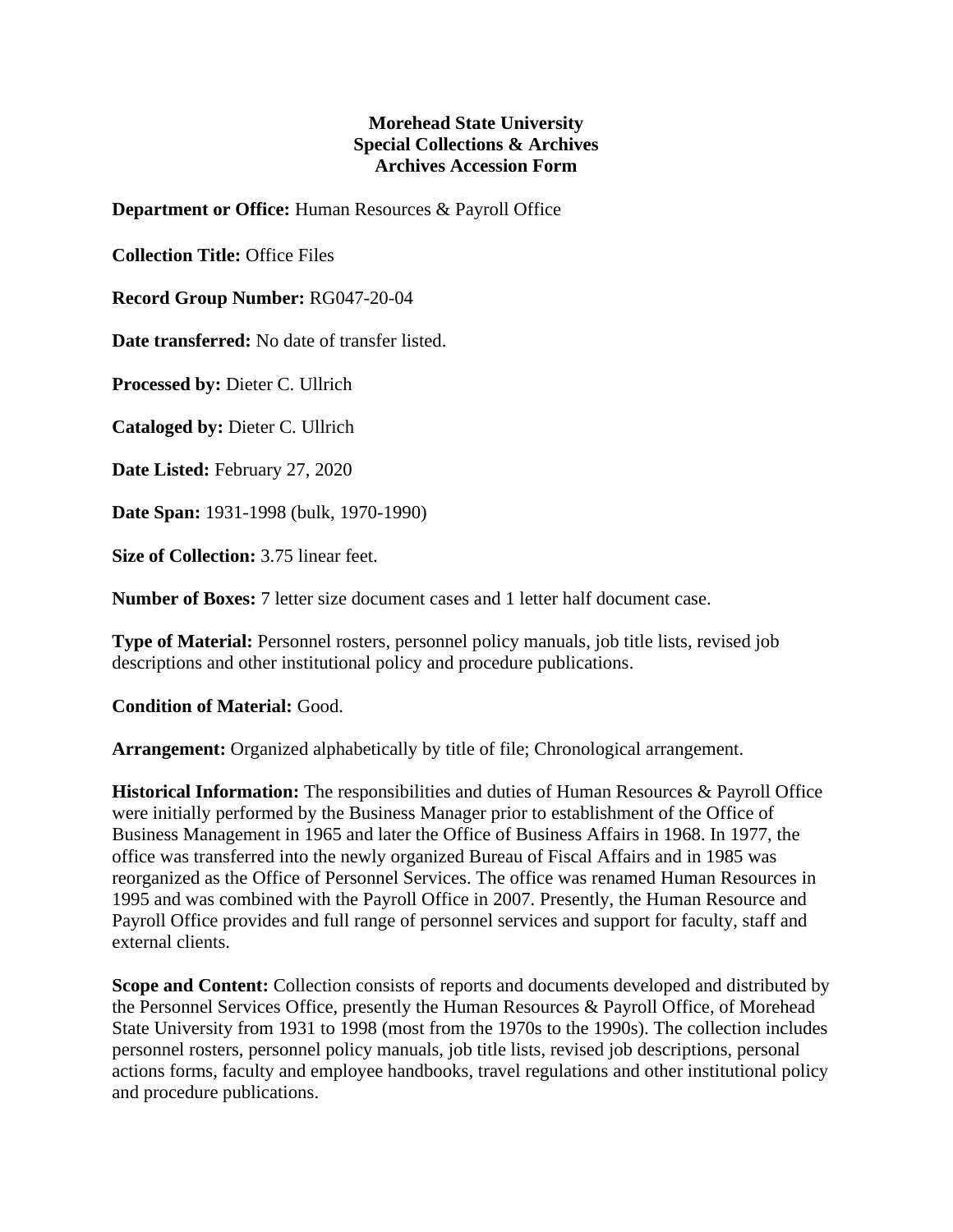## **Morehead State University Special Collections & Archives Archives Accession Form**

**Department or Office:** Human Resources & Payroll Office

**Collection Title:** Office Files

**Record Group Number:** RG047-20-04

**Date transferred:** No date of transfer listed.

**Processed by:** Dieter C. Ullrich

**Cataloged by:** Dieter C. Ullrich

**Date Listed:** February 27, 2020

**Date Span:** 1931-1998 (bulk, 1970-1990)

**Size of Collection:** 3.75 linear feet.

**Number of Boxes:** 7 letter size document cases and 1 letter half document case.

**Type of Material:** Personnel rosters, personnel policy manuals, job title lists, revised job descriptions and other institutional policy and procedure publications.

**Condition of Material:** Good.

**Arrangement:** Organized alphabetically by title of file; Chronological arrangement.

**Historical Information:** The responsibilities and duties of Human Resources & Payroll Office were initially performed by the Business Manager prior to establishment of the Office of Business Management in 1965 and later the Office of Business Affairs in 1968. In 1977, the office was transferred into the newly organized Bureau of Fiscal Affairs and in 1985 was reorganized as the Office of Personnel Services. The office was renamed Human Resources in 1995 and was combined with the Payroll Office in 2007. Presently, the Human Resource and Payroll Office provides and full range of personnel services and support for faculty, staff and external clients.

**Scope and Content:** Collection consists of reports and documents developed and distributed by the Personnel Services Office, presently the Human Resources & Payroll Office, of Morehead State University from 1931 to 1998 (most from the 1970s to the 1990s). The collection includes personnel rosters, personnel policy manuals, job title lists, revised job descriptions, personal actions forms, faculty and employee handbooks, travel regulations and other institutional policy and procedure publications.